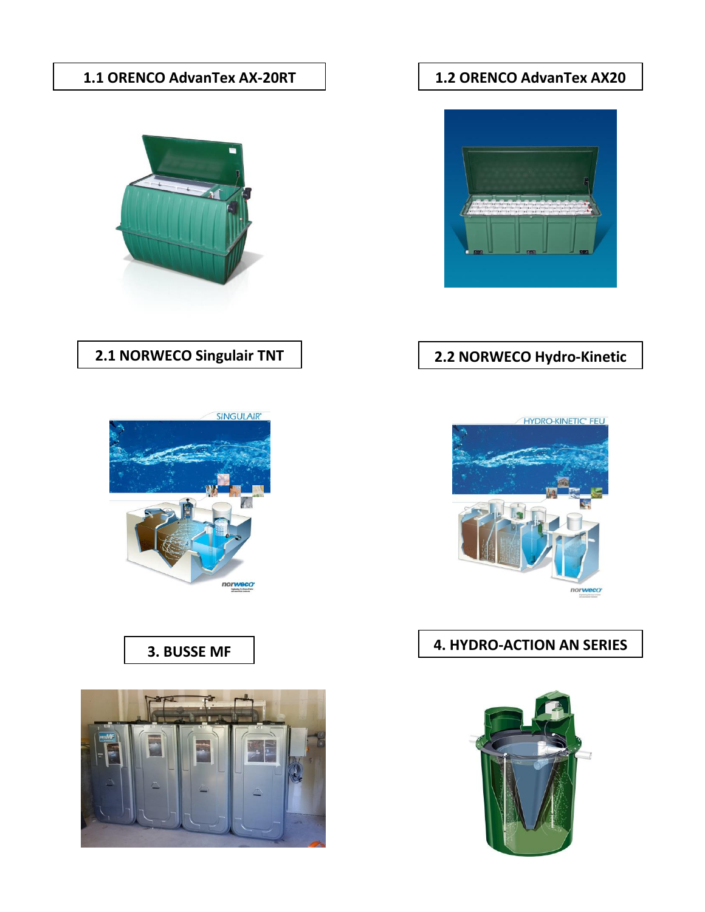#### **1.1 ORENCO AdvanTex AX-20RT 1.2 ORENCO AdvanTex AX20**



# **2.1 NORWECO Singulair TNT**



## **3. BUSSE MF**





### **2.2 NORWECO Hydro-Kinetic**



# **4. HYDRO-ACTION AN SERIES**

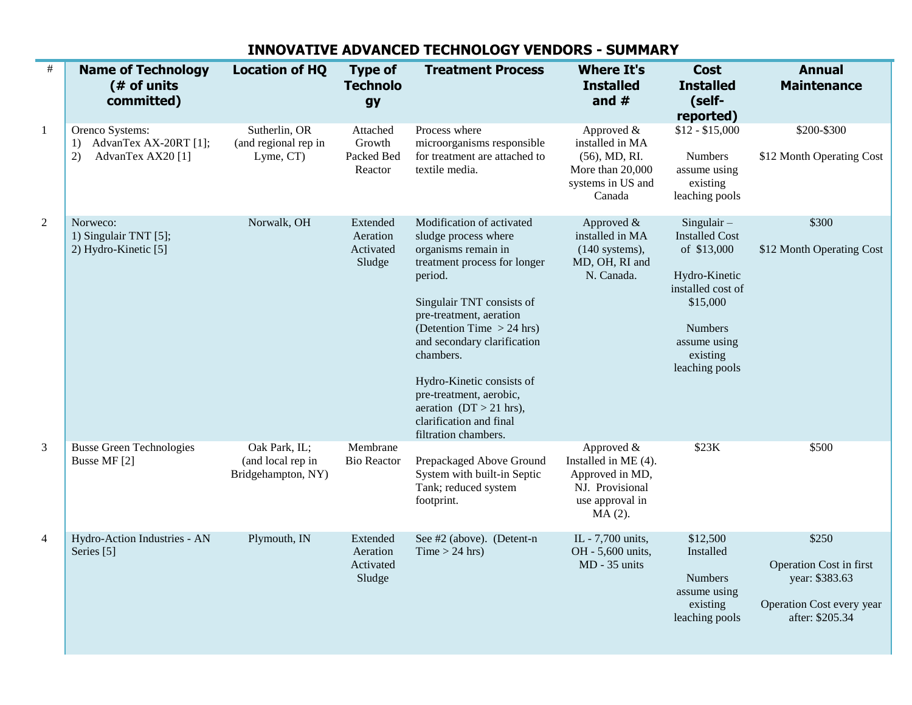| $\#$           | <b>Name of Technology</b><br>(# of units<br>committed)                    | <b>Location of HQ</b>                                    | <b>Type of</b><br><b>Technolo</b><br>gy     | <b>Treatment Process</b>                                                                                                                                                                                                                                                                                                                                                                       | <b>Where It's</b><br><b>Installed</b><br>and $#$                                                         | <b>Cost</b><br><b>Installed</b><br>(self-<br>reported)                                                                                                          | <b>Annual</b><br><b>Maintenance</b>                                                                |
|----------------|---------------------------------------------------------------------------|----------------------------------------------------------|---------------------------------------------|------------------------------------------------------------------------------------------------------------------------------------------------------------------------------------------------------------------------------------------------------------------------------------------------------------------------------------------------------------------------------------------------|----------------------------------------------------------------------------------------------------------|-----------------------------------------------------------------------------------------------------------------------------------------------------------------|----------------------------------------------------------------------------------------------------|
| $\mathbf{1}$   | Orenco Systems:<br>AdvanTex AX-20RT [1];<br>1)<br>AdvanTex AX20 [1]<br>2) | Sutherlin, OR<br>(and regional rep in<br>Lyme, CT)       | Attached<br>Growth<br>Packed Bed<br>Reactor | Process where<br>microorganisms responsible<br>for treatment are attached to<br>textile media.                                                                                                                                                                                                                                                                                                 | Approved &<br>installed in MA<br>$(56)$ , MD, RI.<br>More than 20,000<br>systems in US and<br>Canada     | $$12 - $15,000$<br><b>Numbers</b><br>assume using<br>existing<br>leaching pools                                                                                 | \$200-\$300<br>\$12 Month Operating Cost                                                           |
| $\overline{2}$ | Norweco:<br>1) Singulair TNT [5];<br>2) Hydro-Kinetic [5]                 | Norwalk, OH                                              | Extended<br>Aeration<br>Activated<br>Sludge | Modification of activated<br>sludge process where<br>organisms remain in<br>treatment process for longer<br>period.<br>Singulair TNT consists of<br>pre-treatment, aeration<br>(Detention Time $> 24$ hrs)<br>and secondary clarification<br>chambers.<br>Hydro-Kinetic consists of<br>pre-treatment, aerobic,<br>aeration $(DT > 21$ hrs),<br>clarification and final<br>filtration chambers. | Approved $&$<br>installed in MA<br>$(140$ systems),<br>MD, OH, RI and<br>N. Canada.                      | $Singular -$<br><b>Installed Cost</b><br>of \$13,000<br>Hydro-Kinetic<br>installed cost of<br>\$15,000<br>Numbers<br>assume using<br>existing<br>leaching pools | \$300<br>\$12 Month Operating Cost                                                                 |
| 3              | <b>Busse Green Technologies</b><br>Busse MF [2]                           | Oak Park, IL;<br>(and local rep in<br>Bridgehampton, NY) | Membrane<br><b>Bio Reactor</b>              | Prepackaged Above Ground<br>System with built-in Septic<br>Tank; reduced system<br>footprint.                                                                                                                                                                                                                                                                                                  | Approved &<br>Installed in ME (4).<br>Approved in MD,<br>NJ. Provisional<br>use approval in<br>$MA(2)$ . | \$23K                                                                                                                                                           | \$500                                                                                              |
| $\overline{4}$ | Hydro-Action Industries - AN<br>Series [5]                                | Plymouth, IN                                             | Extended<br>Aeration<br>Activated<br>Sludge | See #2 (above). (Detent-n<br>Time > 24 hrs                                                                                                                                                                                                                                                                                                                                                     | IL - 7,700 units,<br>OH - 5,600 units,<br>MD - 35 units                                                  | \$12,500<br>Installed<br><b>Numbers</b><br>assume using<br>existing<br>leaching pools                                                                           | \$250<br>Operation Cost in first<br>year: \$383.63<br>Operation Cost every year<br>after: \$205.34 |

#### **INNOVATIVE ADVANCED TECHNOLOGY VENDORS - SUMMARY**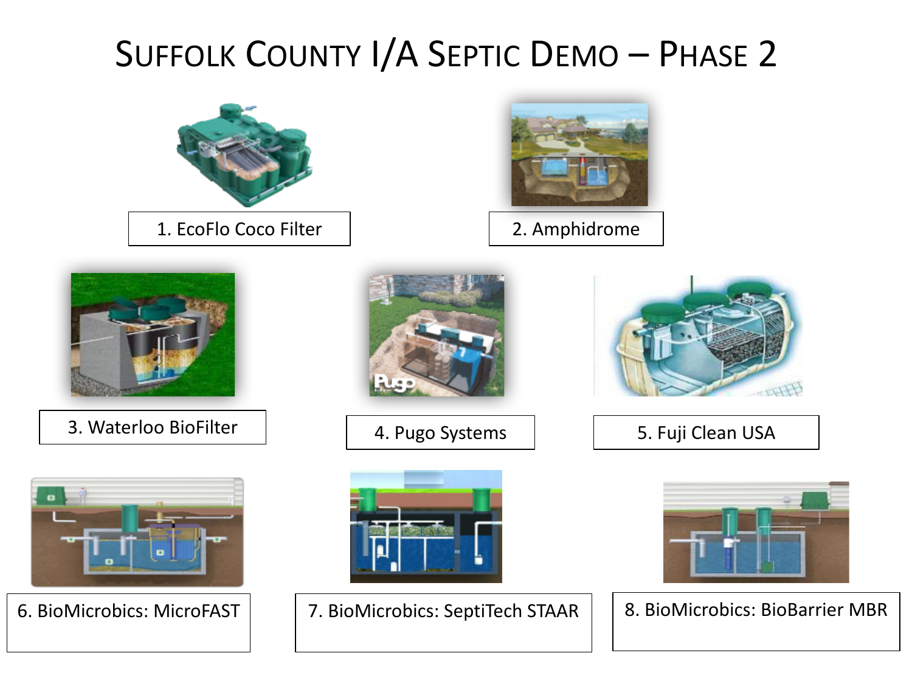# SUFFOLK COUNTY I/A SEPTIC DEMO - PHASE 2



- 
- 6. BioMicrobics: MicroFAST | | 7. BioMicrobics: SeptiTech STAAR | | 8. BioMicrobics: BioBarrier MBR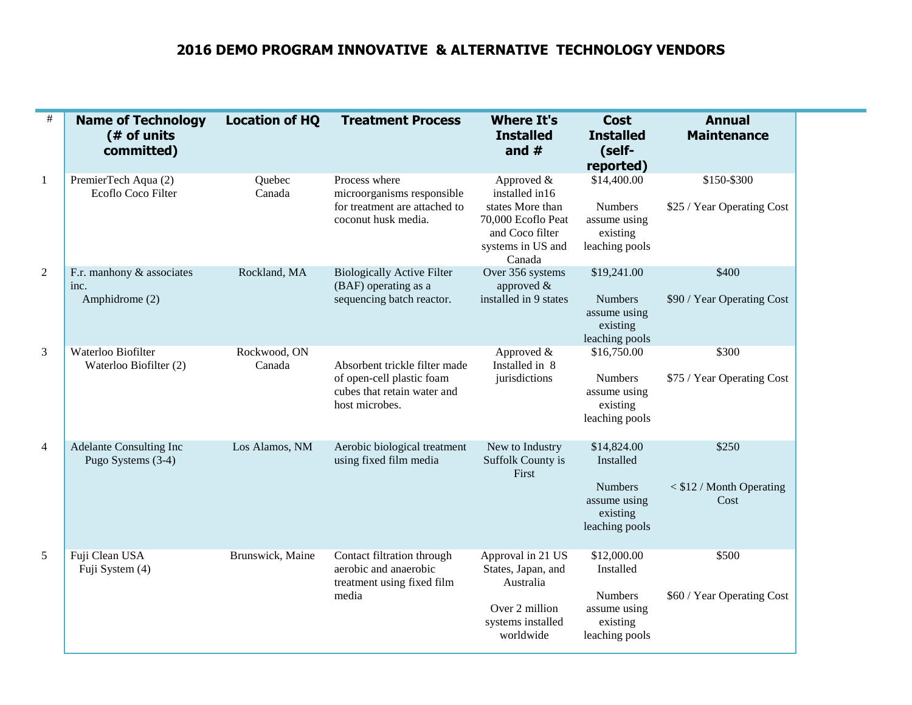#### **2016 DEMO PROGRAM INNOVATIVE & ALTERNATIVE TECHNOLOGY VENDORS**

| $\#$           | <b>Name of Technology</b><br>(# of units<br>committed) | <b>Location of HQ</b>  | <b>Treatment Process</b>                                                                                    | <b>Where It's</b><br><b>Installed</b><br>and $#$                                                                         | <b>Cost</b><br><b>Installed</b><br>(self-<br>reported)                                   | <b>Annual</b><br><b>Maintenance</b>         |
|----------------|--------------------------------------------------------|------------------------|-------------------------------------------------------------------------------------------------------------|--------------------------------------------------------------------------------------------------------------------------|------------------------------------------------------------------------------------------|---------------------------------------------|
| $\mathbf{1}$   | PremierTech Aqua (2)<br>Ecoflo Coco Filter             | Quebec<br>Canada       | Process where<br>microorganisms responsible<br>for treatment are attached to<br>coconut husk media.         | Approved &<br>installed in16<br>states More than<br>70,000 Ecoflo Peat<br>and Coco filter<br>systems in US and<br>Canada | \$14,400.00<br><b>Numbers</b><br>assume using<br>existing<br>leaching pools              | \$150-\$300<br>\$25 / Year Operating Cost   |
| $\overline{2}$ | F.r. manhony & associates<br>inc.<br>Amphidrome (2)    | Rockland, MA           | <b>Biologically Active Filter</b><br>(BAF) operating as a<br>sequencing batch reactor.                      | Over 356 systems<br>approved $\&$<br>installed in 9 states                                                               | \$19,241.00<br><b>Numbers</b><br>assume using<br>existing<br>leaching pools              | \$400<br>\$90 / Year Operating Cost         |
| 3              | Waterloo Biofilter<br>Waterloo Biofilter (2)           | Rockwood, ON<br>Canada | Absorbent trickle filter made<br>of open-cell plastic foam<br>cubes that retain water and<br>host microbes. | Approved &<br>Installed in 8<br>jurisdictions                                                                            | \$16,750.00<br><b>Numbers</b><br>assume using<br>existing<br>leaching pools              | \$300<br>\$75 / Year Operating Cost         |
| $\overline{4}$ | <b>Adelante Consulting Inc</b><br>Pugo Systems (3-4)   | Los Alamos, NM         | Aerobic biological treatment<br>using fixed film media                                                      | New to Industry<br>Suffolk County is<br>First                                                                            | \$14,824.00<br>Installed<br><b>Numbers</b><br>assume using<br>existing<br>leaching pools | \$250<br>$<$ \$12 / Month Operating<br>Cost |
| 5              | Fuji Clean USA<br>Fuji System (4)                      | Brunswick, Maine       | Contact filtration through<br>aerobic and anaerobic<br>treatment using fixed film<br>media                  | Approval in 21 US<br>States, Japan, and<br>Australia<br>Over 2 million<br>systems installed<br>worldwide                 | \$12,000.00<br>Installed<br><b>Numbers</b><br>assume using<br>existing<br>leaching pools | \$500<br>\$60 / Year Operating Cost         |